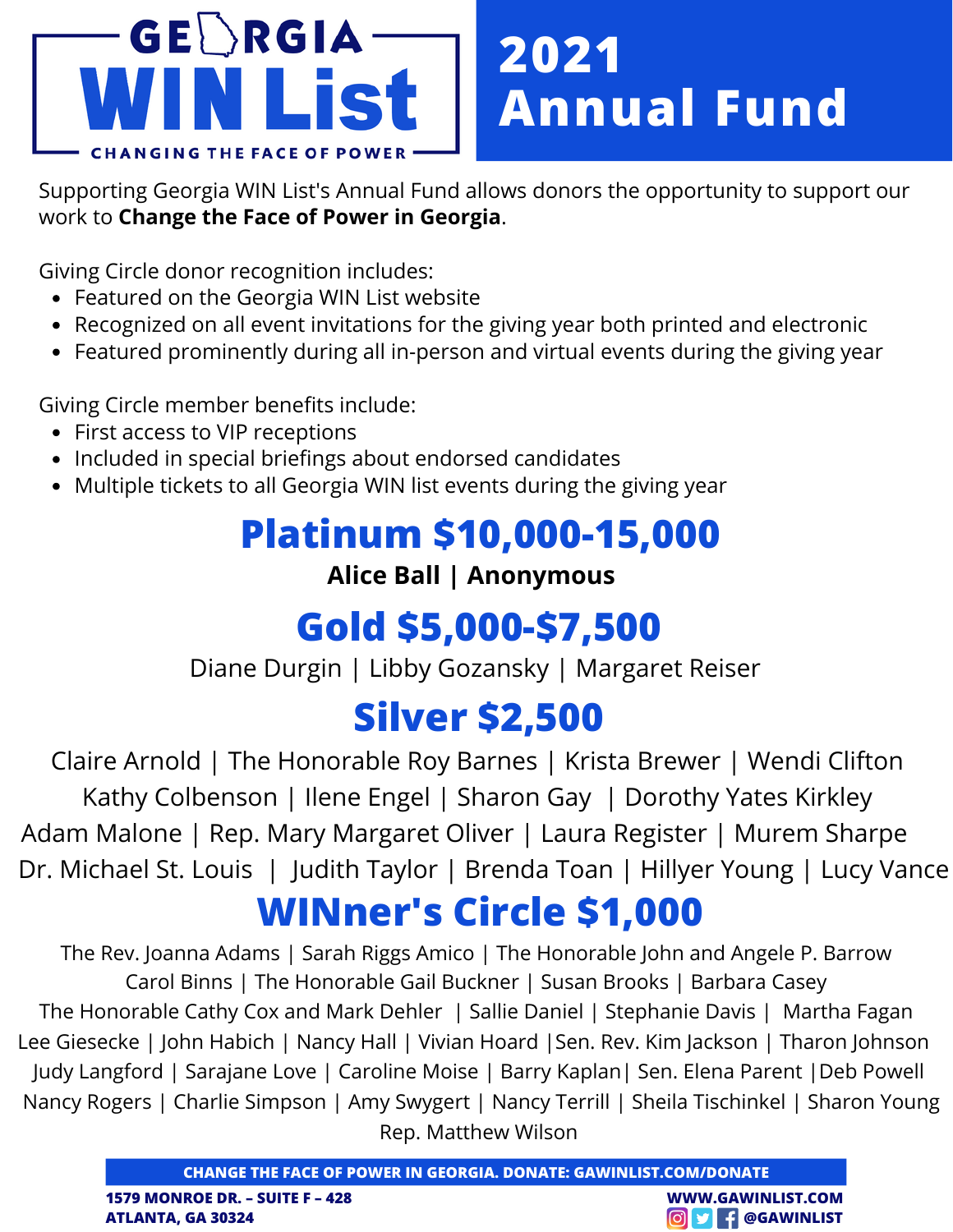

Supporting Georgia WIN List's Annual Fund allows donors the opportunity to support our work to **Change the Face of Power in Georgia**.

Giving Circle donor recognition includes:

- Featured on the Georgia WIN List website
- Recognized on all event invitations for the giving year both printed and electronic
- Featured prominently during all in-person and virtual events during the giving year

Giving Circle member benefits include:

- First access to VIP receptions
- Included in special briefings about endorsed candidates
- Multiple tickets to all Georgia WIN list events during the giving year

### **Platinum \$10,000-15,000**

#### **Alice Ball | Anonymous**

### **Gold \$5,000-\$7,500**

Diane Durgin | Libby Gozansky | Margaret Reiser

# **Silver \$2,500**

Claire Arnold | The Honorable Roy Barnes | Krista Brewer | Wendi Clifton Kathy Colbenson | Ilene Engel | Sharon Gay | Dorothy Yates Kirkley Adam Malone | Rep. Mary Margaret Oliver | Laura Register | Murem Sharpe Dr. Michael St. Louis | Judith Taylor | Brenda Toan | Hillyer Young | Lucy Vance

# **WINner's Circle \$1,000**

The Rev. Joanna Adams | Sarah Riggs Amico | The Honorable John and Angele P. Barrow Carol Binns | The Honorable Gail Buckner | Susan Brooks | Barbara Casey The Honorable Cathy Cox and Mark Dehler | Sallie Daniel | Stephanie Davis | Martha Fagan Lee Giesecke | John Habich | Nancy Hall | Vivian Hoard |Sen. Rev. Kim Jackson | Tharon Johnson Judy Langford | Sarajane Love | Caroline Moise | Barry Kaplan| Sen. Elena Parent |Deb Powell Nancy Rogers | Charlie Simpson | Amy Swygert | Nancy Terrill | Sheila Tischinkel | Sharon Young Rep. Matthew Wilson